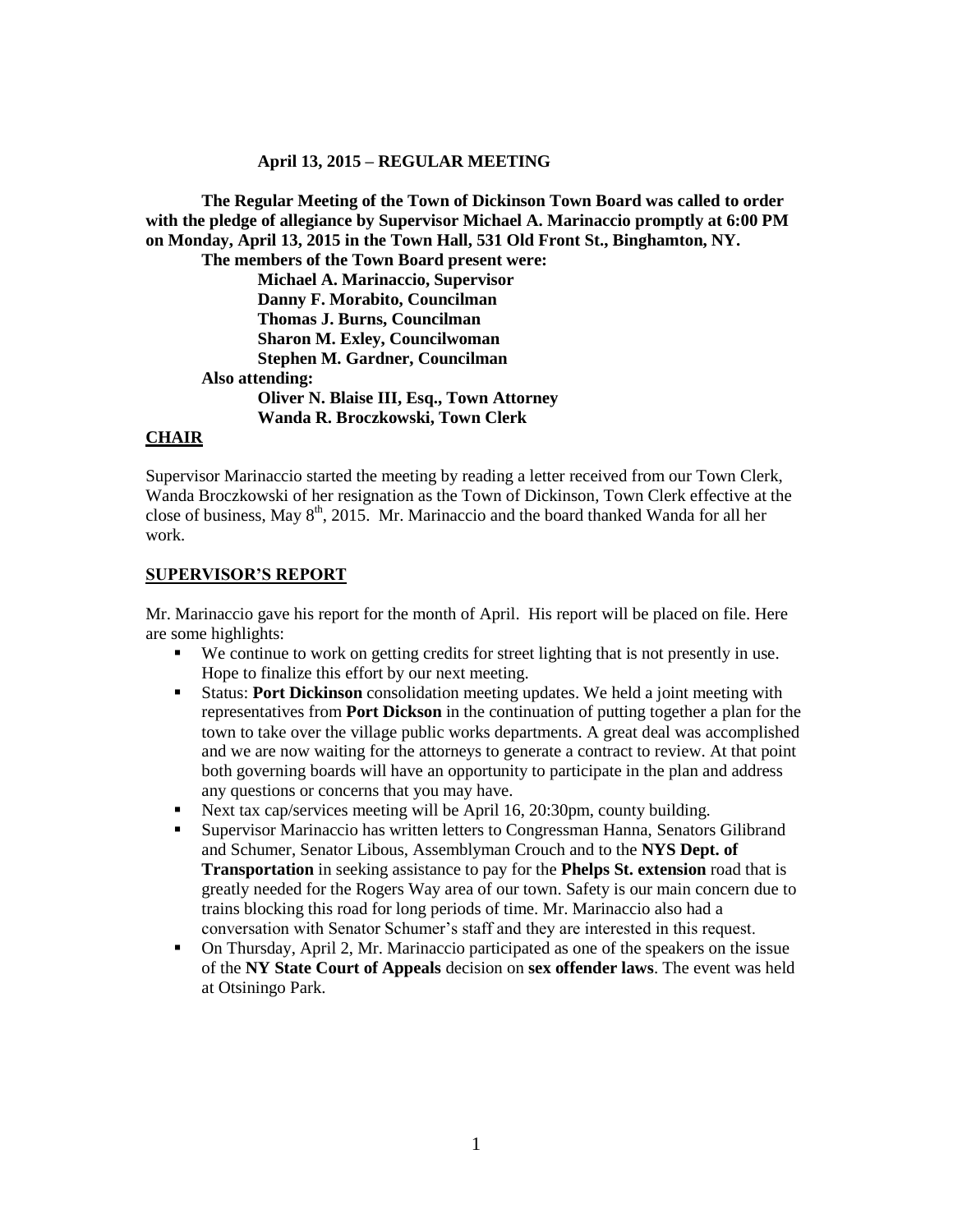#### **April 13, 2015 – REGULAR MEETING**

**The Regular Meeting of the Town of Dickinson Town Board was called to order with the pledge of allegiance by Supervisor Michael A. Marinaccio promptly at 6:00 PM on Monday, April 13, 2015 in the Town Hall, 531 Old Front St., Binghamton, NY. The members of the Town Board present were: Michael A. Marinaccio, Supervisor Danny F. Morabito, Councilman Thomas J. Burns, Councilman Sharon M. Exley, Councilwoman Stephen M. Gardner, Councilman Also attending: Oliver N. Blaise III, Esq., Town Attorney Wanda R. Broczkowski, Town Clerk**

#### **CHAIR**

Supervisor Marinaccio started the meeting by reading a letter received from our Town Clerk, Wanda Broczkowski of her resignation as the Town of Dickinson, Town Clerk effective at the close of business, May  $8<sup>th</sup>$ , 2015. Mr. Marinaccio and the board thanked Wanda for all her work.

#### **SUPERVISOR'S REPORT**

Mr. Marinaccio gave his report for the month of April. His report will be placed on file. Here are some highlights:

- We continue to work on getting credits for street lighting that is not presently in use. Hope to finalize this effort by our next meeting.
- Status: **Port Dickinson** consolidation meeting updates. We held a joint meeting with representatives from **Port Dickson** in the continuation of putting together a plan for the town to take over the village public works departments. A great deal was accomplished and we are now waiting for the attorneys to generate a contract to review. At that point both governing boards will have an opportunity to participate in the plan and address any questions or concerns that you may have.
- Next tax cap/services meeting will be April 16, 20:30pm, county building.
- Supervisor Marinaccio has written letters to Congressman Hanna, Senators Gilibrand and Schumer, Senator Libous, Assemblyman Crouch and to the **NYS Dept. of Transportation** in seeking assistance to pay for the **Phelps St. extension** road that is greatly needed for the Rogers Way area of our town. Safety is our main concern due to trains blocking this road for long periods of time. Mr. Marinaccio also had a conversation with Senator Schumer's staff and they are interested in this request.
- On Thursday, April 2, Mr. Marinaccio participated as one of the speakers on the issue of the **NY State Court of Appeals** decision on **sex offender laws**. The event was held at Otsiningo Park.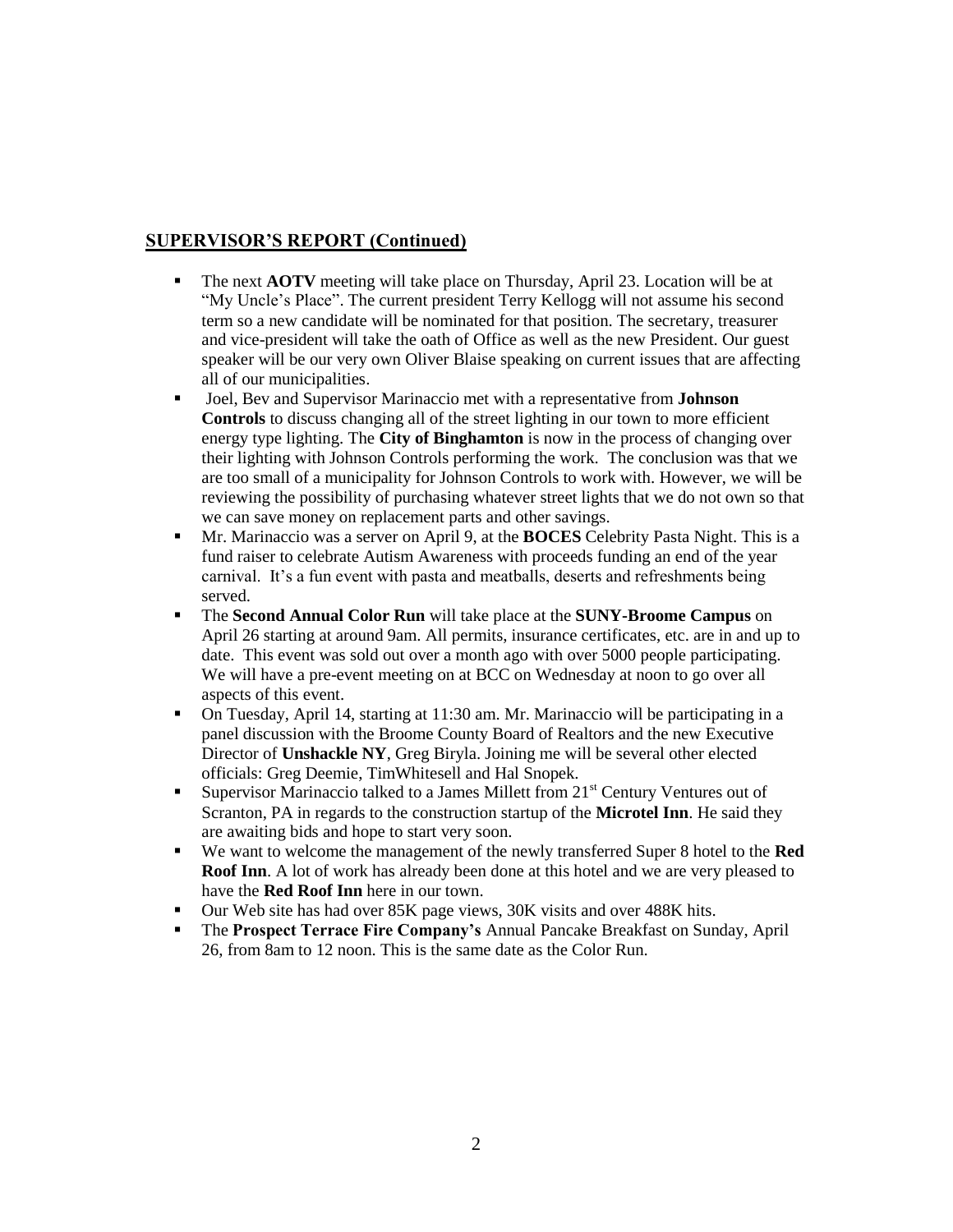# **SUPERVISOR'S REPORT (Continued)**

- The next **AOTV** meeting will take place on Thursday, April 23. Location will be at "My Uncle's Place". The current president Terry Kellogg will not assume his second term so a new candidate will be nominated for that position. The secretary, treasurer and vice-president will take the oath of Office as well as the new President. Our guest speaker will be our very own Oliver Blaise speaking on current issues that are affecting all of our municipalities.
- Joel, Bev and Supervisor Marinaccio met with a representative from **Johnson Controls** to discuss changing all of the street lighting in our town to more efficient energy type lighting. The **City of Binghamton** is now in the process of changing over their lighting with Johnson Controls performing the work. The conclusion was that we are too small of a municipality for Johnson Controls to work with. However, we will be reviewing the possibility of purchasing whatever street lights that we do not own so that we can save money on replacement parts and other savings.
- Mr. Marinaccio was a server on April 9, at the **BOCES** Celebrity Pasta Night. This is a fund raiser to celebrate Autism Awareness with proceeds funding an end of the year carnival. It's a fun event with pasta and meatballs, deserts and refreshments being served.
- The **Second Annual Color Run** will take place at the **SUNY-Broome Campus** on April 26 starting at around 9am. All permits, insurance certificates, etc. are in and up to date. This event was sold out over a month ago with over 5000 people participating. We will have a pre-event meeting on at BCC on Wednesday at noon to go over all aspects of this event.
- On Tuesday, April 14, starting at 11:30 am. Mr. Marinaccio will be participating in a panel discussion with the Broome County Board of Realtors and the new Executive Director of **Unshackle NY**, Greg Biryla. Joining me will be several other elected officials: Greg Deemie, TimWhitesell and Hal Snopek.
- Supervisor Marinaccio talked to a James Millett from  $21<sup>st</sup>$  Century Ventures out of Scranton, PA in regards to the construction startup of the **Microtel Inn**. He said they are awaiting bids and hope to start very soon.
- We want to welcome the management of the newly transferred Super 8 hotel to the **Red Roof Inn.** A lot of work has already been done at this hotel and we are very pleased to have the **Red Roof Inn** here in our town.
- Our Web site has had over 85K page views, 30K visits and over 488K hits.
- The **Prospect Terrace Fire Company's** Annual Pancake Breakfast on Sunday, April 26, from 8am to 12 noon. This is the same date as the Color Run.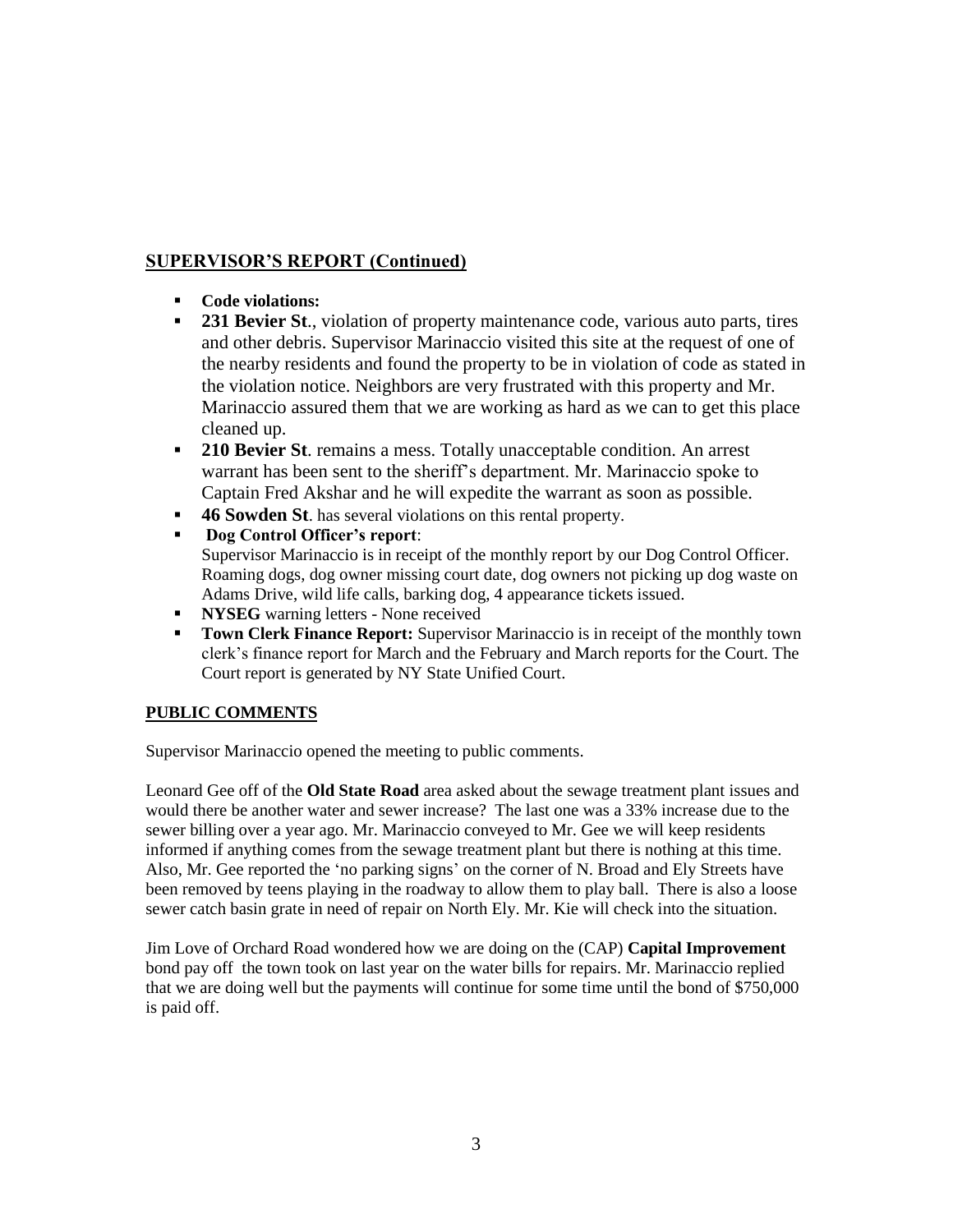# **SUPERVISOR'S REPORT (Continued)**

- **Code violations:**
- **231 Bevier St.**, violation of property maintenance code, various auto parts, tires and other debris. Supervisor Marinaccio visited this site at the request of one of the nearby residents and found the property to be in violation of code as stated in the violation notice. Neighbors are very frustrated with this property and Mr. Marinaccio assured them that we are working as hard as we can to get this place cleaned up.
- **210 Bevier St**. remains a mess. Totally unacceptable condition. An arrest warrant has been sent to the sheriff's department. Mr. Marinaccio spoke to Captain Fred Akshar and he will expedite the warrant as soon as possible.
- **46 Sowden St**. has several violations on this rental property.
- **Dog Control Officer's report**: Supervisor Marinaccio is in receipt of the monthly report by our Dog Control Officer. Roaming dogs, dog owner missing court date, dog owners not picking up dog waste on Adams Drive, wild life calls, barking dog, 4 appearance tickets issued.
- **NYSEG** warning letters None received
- **Town Clerk Finance Report:** Supervisor Marinaccio is in receipt of the monthly town clerk's finance report for March and the February and March reports for the Court. The Court report is generated by NY State Unified Court.

## **PUBLIC COMMENTS**

Supervisor Marinaccio opened the meeting to public comments.

Leonard Gee off of the **Old State Road** area asked about the sewage treatment plant issues and would there be another water and sewer increase? The last one was a 33% increase due to the sewer billing over a year ago. Mr. Marinaccio conveyed to Mr. Gee we will keep residents informed if anything comes from the sewage treatment plant but there is nothing at this time. Also, Mr. Gee reported the 'no parking signs' on the corner of N. Broad and Ely Streets have been removed by teens playing in the roadway to allow them to play ball. There is also a loose sewer catch basin grate in need of repair on North Ely. Mr. Kie will check into the situation.

Jim Love of Orchard Road wondered how we are doing on the (CAP) **Capital Improvement** bond pay off the town took on last year on the water bills for repairs. Mr. Marinaccio replied that we are doing well but the payments will continue for some time until the bond of \$750,000 is paid off.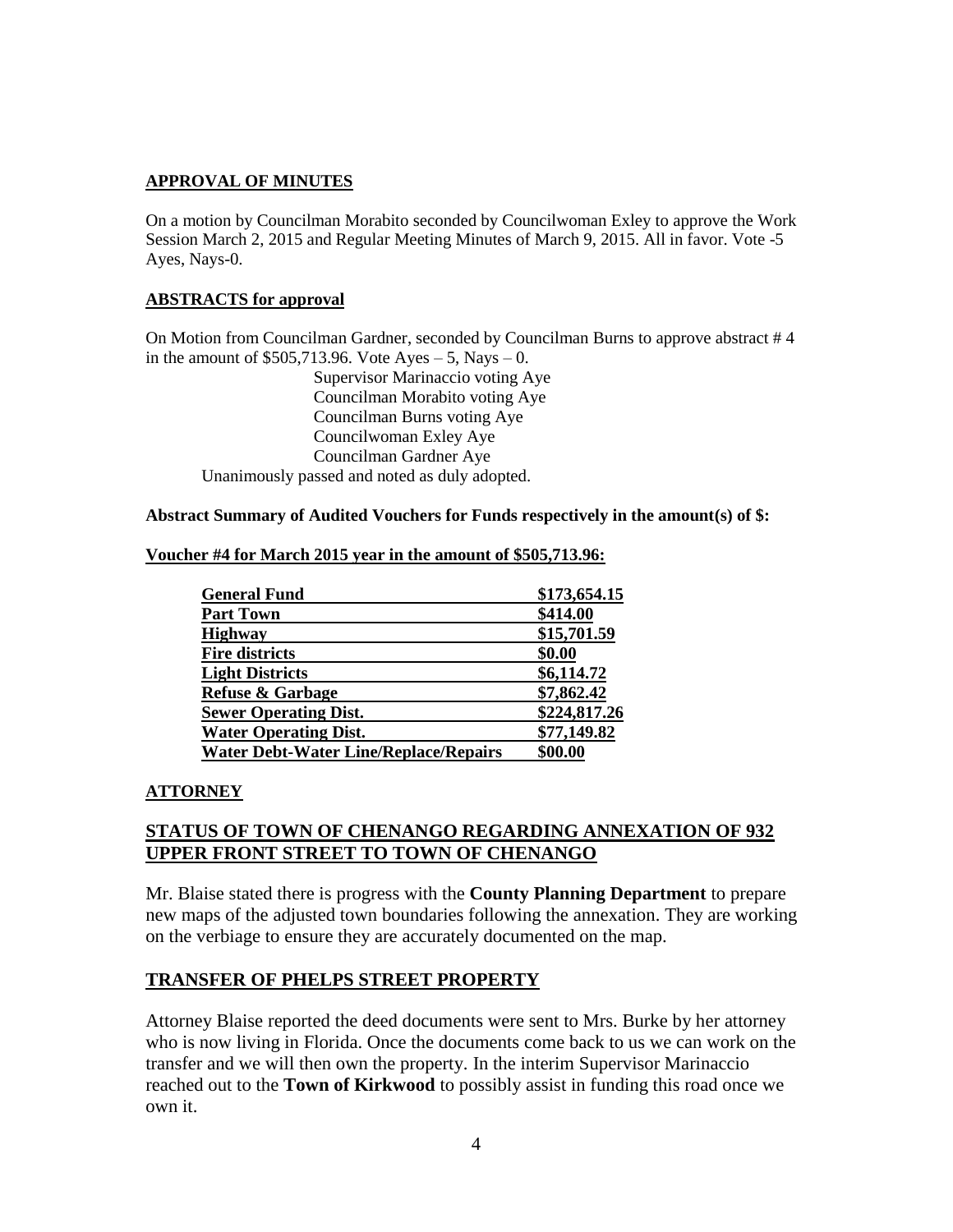## **APPROVAL OF MINUTES**

On a motion by Councilman Morabito seconded by Councilwoman Exley to approve the Work Session March 2, 2015 and Regular Meeting Minutes of March 9, 2015. All in favor. Vote -5 Ayes, Nays-0.

## **ABSTRACTS for approval**

On Motion from Councilman Gardner, seconded by Councilman Burns to approve abstract # 4 in the amount of  $$505,713.96$ . Vote Ayes  $-5$ , Nays  $-0$ .

Supervisor Marinaccio voting Aye Councilman Morabito voting Aye Councilman Burns voting Aye Councilwoman Exley Aye Councilman Gardner Aye Unanimously passed and noted as duly adopted.

#### **Abstract Summary of Audited Vouchers for Funds respectively in the amount(s) of \$:**

| Voucher #4 for March 2015 year in the amount of \$505,713.96: |  |  |
|---------------------------------------------------------------|--|--|
|---------------------------------------------------------------|--|--|

| <b>General Fund</b>                          | \$173,654.15 |
|----------------------------------------------|--------------|
| <b>Part Town</b>                             | \$414.00     |
| <b>Highway</b>                               | \$15,701.59  |
| <b>Fire districts</b>                        | \$0.00       |
| <b>Light Districts</b>                       | \$6,114.72   |
| <b>Refuse &amp; Garbage</b>                  | \$7,862.42   |
| <b>Sewer Operating Dist.</b>                 | \$224,817.26 |
| <b>Water Operating Dist.</b>                 | \$77,149.82  |
| <b>Water Debt-Water Line/Replace/Repairs</b> | \$00.00      |

## **ATTORNEY**

## **STATUS OF TOWN OF CHENANGO REGARDING ANNEXATION OF 932 UPPER FRONT STREET TO TOWN OF CHENANGO**

Mr. Blaise stated there is progress with the **County Planning Department** to prepare new maps of the adjusted town boundaries following the annexation. They are working on the verbiage to ensure they are accurately documented on the map.

## **TRANSFER OF PHELPS STREET PROPERTY**

Attorney Blaise reported the deed documents were sent to Mrs. Burke by her attorney who is now living in Florida. Once the documents come back to us we can work on the transfer and we will then own the property. In the interim Supervisor Marinaccio reached out to the **Town of Kirkwood** to possibly assist in funding this road once we own it.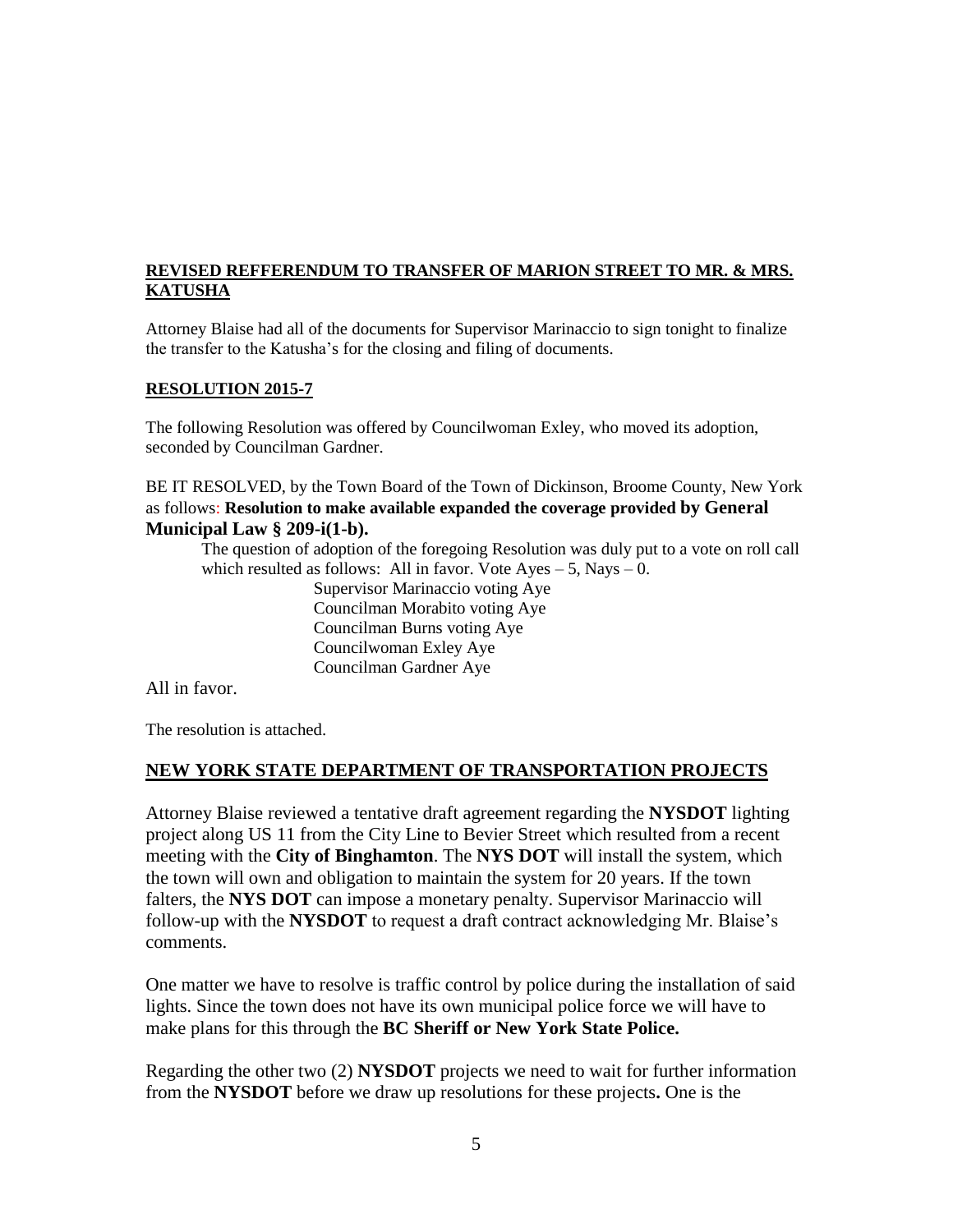## **REVISED REFFERENDUM TO TRANSFER OF MARION STREET TO MR. & MRS. KATUSHA**

Attorney Blaise had all of the documents for Supervisor Marinaccio to sign tonight to finalize the transfer to the Katusha's for the closing and filing of documents.

### **RESOLUTION 2015-7**

The following Resolution was offered by Councilwoman Exley, who moved its adoption, seconded by Councilman Gardner.

BE IT RESOLVED, by the Town Board of the Town of Dickinson, Broome County, New York as follows: **Resolution to make available expanded the coverage provided by General Municipal Law § 209-i(1-b).**

The question of adoption of the foregoing Resolution was duly put to a vote on roll call which resulted as follows: All in favor. Vote  $Ayes - 5$ , Nays  $- 0$ .

> Supervisor Marinaccio voting Aye Councilman Morabito voting Aye Councilman Burns voting Aye Councilwoman Exley Aye Councilman Gardner Aye

All in favor.

The resolution is attached.

### **NEW YORK STATE DEPARTMENT OF TRANSPORTATION PROJECTS**

Attorney Blaise reviewed a tentative draft agreement regarding the **NYSDOT** lighting project along US 11 from the City Line to Bevier Street which resulted from a recent meeting with the **City of Binghamton**. The **NYS DOT** will install the system, which the town will own and obligation to maintain the system for 20 years. If the town falters, the **NYS DOT** can impose a monetary penalty. Supervisor Marinaccio will follow-up with the **NYSDOT** to request a draft contract acknowledging Mr. Blaise's comments.

One matter we have to resolve is traffic control by police during the installation of said lights. Since the town does not have its own municipal police force we will have to make plans for this through the **BC Sheriff or New York State Police.**

Regarding the other two (2) **NYSDOT** projects we need to wait for further information from the **NYSDOT** before we draw up resolutions for these projects**.** One is the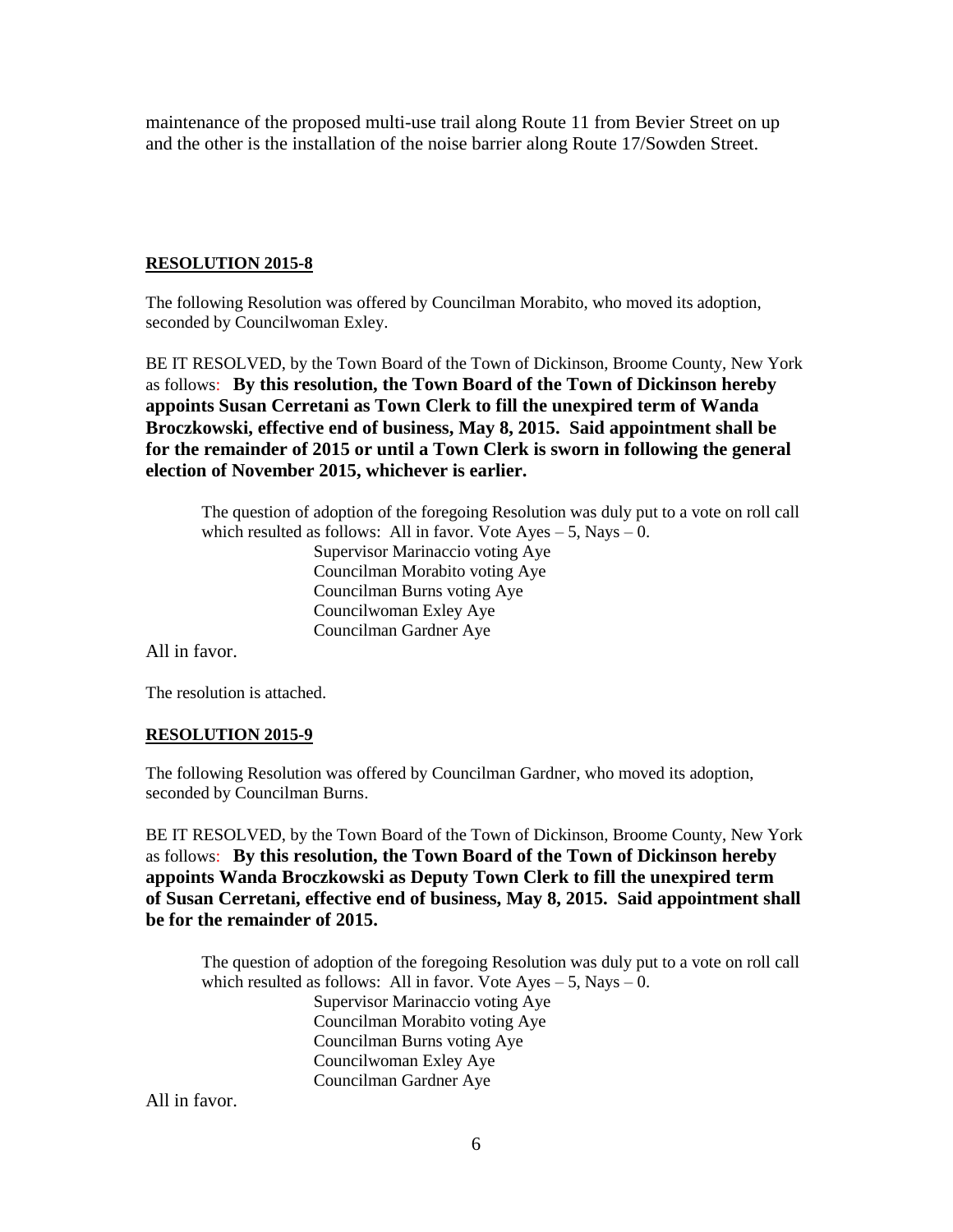maintenance of the proposed multi-use trail along Route 11 from Bevier Street on up and the other is the installation of the noise barrier along Route 17/Sowden Street.

### **RESOLUTION 2015-8**

The following Resolution was offered by Councilman Morabito, who moved its adoption, seconded by Councilwoman Exley.

BE IT RESOLVED, by the Town Board of the Town of Dickinson, Broome County, New York as follows: **By this resolution, the Town Board of the Town of Dickinson hereby appoints Susan Cerretani as Town Clerk to fill the unexpired term of Wanda Broczkowski, effective end of business, May 8, 2015. Said appointment shall be for the remainder of 2015 or until a Town Clerk is sworn in following the general election of November 2015, whichever is earlier.**

The question of adoption of the foregoing Resolution was duly put to a vote on roll call which resulted as follows: All in favor. Vote  $Ayes - 5$ , Nays  $- 0$ . Supervisor Marinaccio voting Aye Councilman Morabito voting Aye Councilman Burns voting Aye Councilwoman Exley Aye Councilman Gardner Aye

All in favor.

The resolution is attached.

### **RESOLUTION 2015-9**

The following Resolution was offered by Councilman Gardner, who moved its adoption, seconded by Councilman Burns.

BE IT RESOLVED, by the Town Board of the Town of Dickinson, Broome County, New York as follows: **By this resolution, the Town Board of the Town of Dickinson hereby appoints Wanda Broczkowski as Deputy Town Clerk to fill the unexpired term of Susan Cerretani, effective end of business, May 8, 2015. Said appointment shall be for the remainder of 2015.**

The question of adoption of the foregoing Resolution was duly put to a vote on roll call which resulted as follows: All in favor. Vote  $Ayes - 5$ , Nays  $- 0$ . Supervisor Marinaccio voting Aye Councilman Morabito voting Aye Councilman Burns voting Aye Councilwoman Exley Aye Councilman Gardner Aye

All in favor.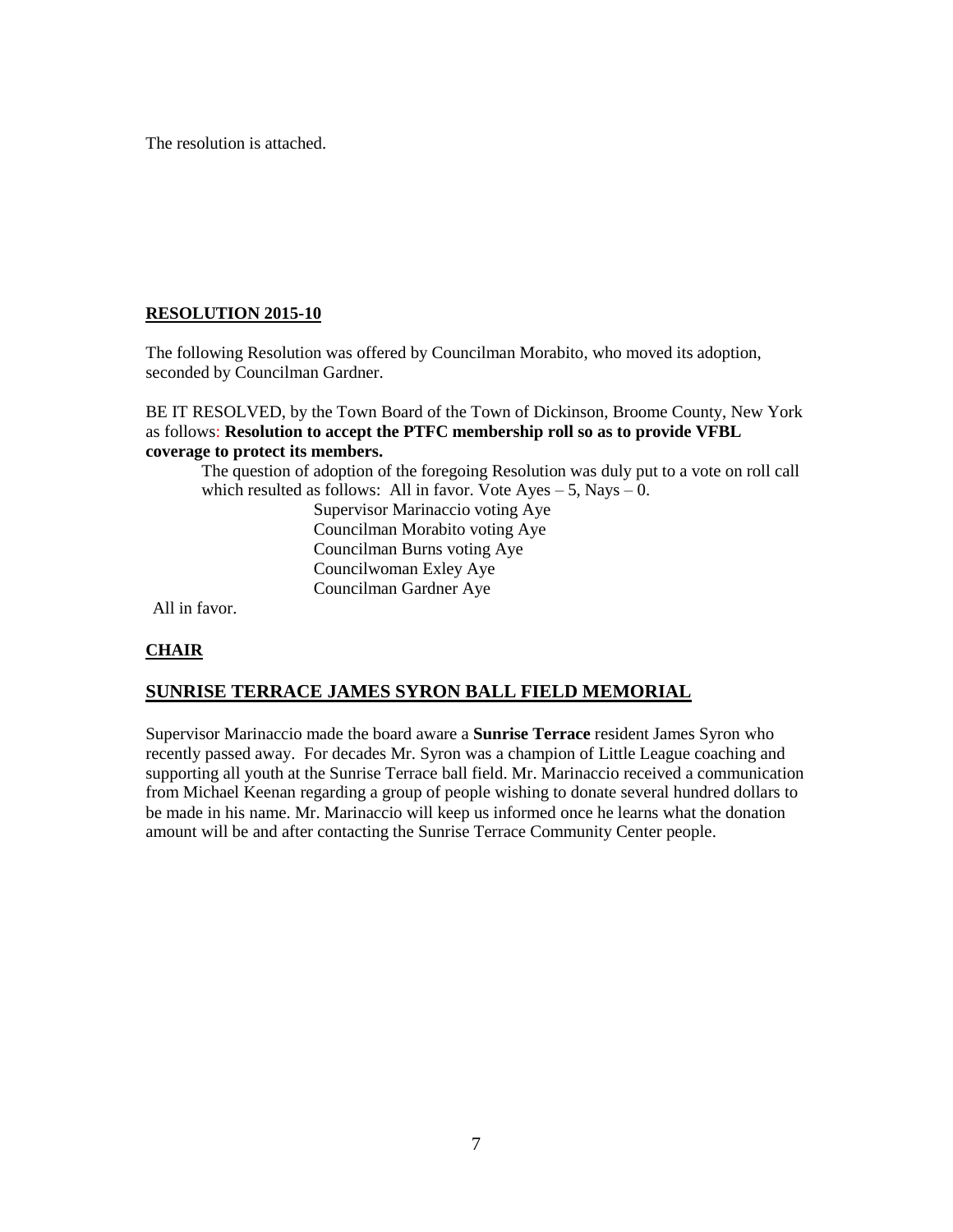The resolution is attached.

## **RESOLUTION 2015-10**

The following Resolution was offered by Councilman Morabito, who moved its adoption, seconded by Councilman Gardner.

BE IT RESOLVED, by the Town Board of the Town of Dickinson, Broome County, New York as follows: **Resolution to accept the PTFC membership roll so as to provide VFBL coverage to protect its members.**

The question of adoption of the foregoing Resolution was duly put to a vote on roll call which resulted as follows: All in favor. Vote  $Ayes - 5$ , Nays  $- 0$ .

Supervisor Marinaccio voting Aye Councilman Morabito voting Aye Councilman Burns voting Aye Councilwoman Exley Aye Councilman Gardner Aye

All in favor.

# **CHAIR**

# **SUNRISE TERRACE JAMES SYRON BALL FIELD MEMORIAL**

Supervisor Marinaccio made the board aware a **Sunrise Terrace** resident James Syron who recently passed away. For decades Mr. Syron was a champion of Little League coaching and supporting all youth at the Sunrise Terrace ball field. Mr. Marinaccio received a communication from Michael Keenan regarding a group of people wishing to donate several hundred dollars to be made in his name. Mr. Marinaccio will keep us informed once he learns what the donation amount will be and after contacting the Sunrise Terrace Community Center people.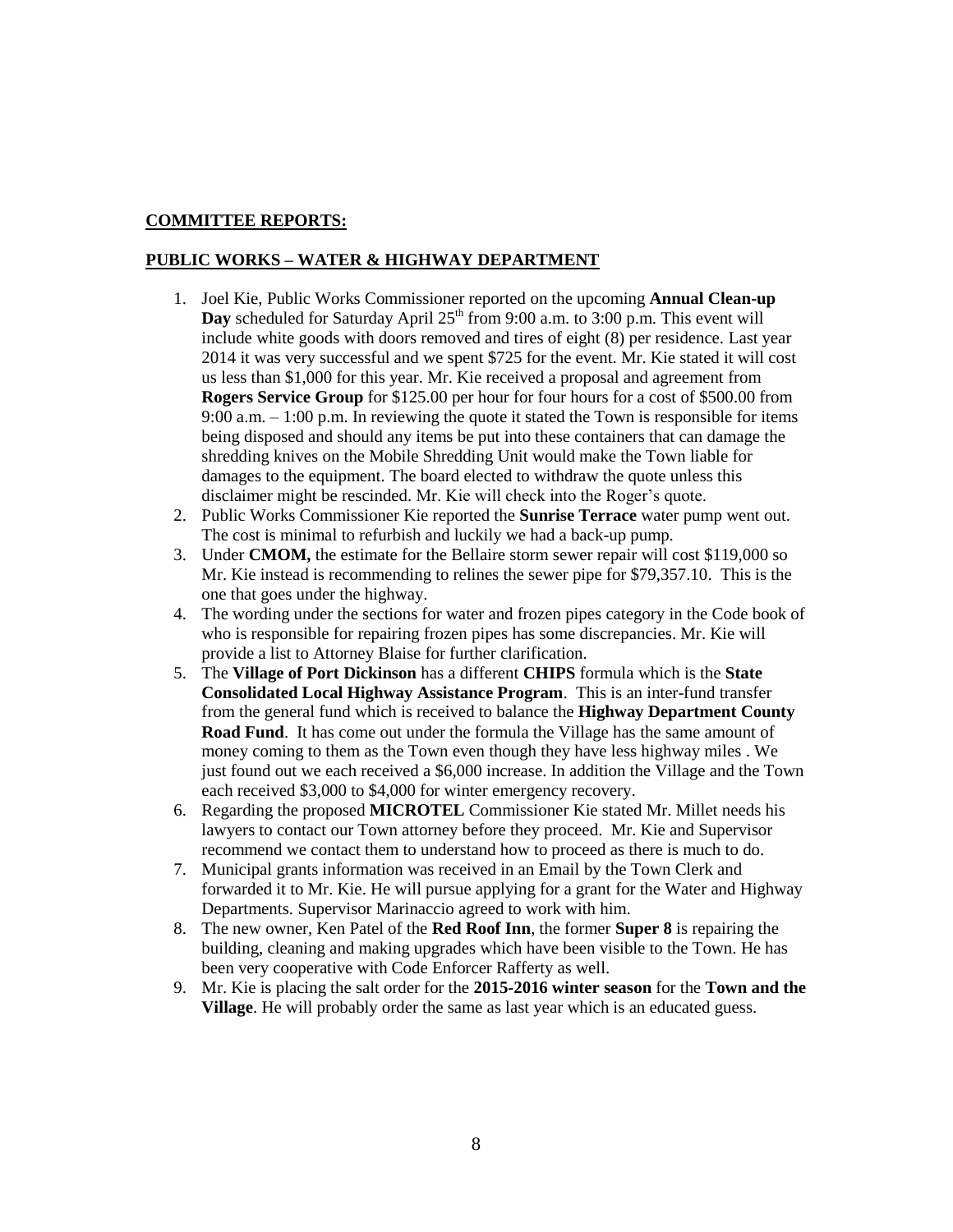### **COMMITTEE REPORTS:**

#### **PUBLIC WORKS – WATER & HIGHWAY DEPARTMENT**

- 1. Joel Kie, Public Works Commissioner reported on the upcoming **Annual Clean-up Day** scheduled for Saturday April  $25<sup>th</sup>$  from 9:00 a.m. to 3:00 p.m. This event will include white goods with doors removed and tires of eight (8) per residence. Last year 2014 it was very successful and we spent \$725 for the event. Mr. Kie stated it will cost us less than \$1,000 for this year. Mr. Kie received a proposal and agreement from **Rogers Service Group** for \$125.00 per hour for four hours for a cost of \$500.00 from 9:00 a.m. – 1:00 p.m. In reviewing the quote it stated the Town is responsible for items being disposed and should any items be put into these containers that can damage the shredding knives on the Mobile Shredding Unit would make the Town liable for damages to the equipment. The board elected to withdraw the quote unless this disclaimer might be rescinded. Mr. Kie will check into the Roger's quote.
- 2. Public Works Commissioner Kie reported the **Sunrise Terrace** water pump went out. The cost is minimal to refurbish and luckily we had a back-up pump.
- 3. Under **CMOM,** the estimate for the Bellaire storm sewer repair will cost \$119,000 so Mr. Kie instead is recommending to relines the sewer pipe for \$79,357.10. This is the one that goes under the highway.
- 4. The wording under the sections for water and frozen pipes category in the Code book of who is responsible for repairing frozen pipes has some discrepancies. Mr. Kie will provide a list to Attorney Blaise for further clarification.
- 5. The **Village of Port Dickinson** has a different **CHIPS** formula which is the **State Consolidated Local Highway Assistance Program**. This is an inter-fund transfer from the general fund which is received to balance the **Highway Department County Road Fund**. It has come out under the formula the Village has the same amount of money coming to them as the Town even though they have less highway miles . We just found out we each received a \$6,000 increase. In addition the Village and the Town each received \$3,000 to \$4,000 for winter emergency recovery.
- 6. Regarding the proposed **MICROTEL** Commissioner Kie stated Mr. Millet needs his lawyers to contact our Town attorney before they proceed. Mr. Kie and Supervisor recommend we contact them to understand how to proceed as there is much to do.
- 7. Municipal grants information was received in an Email by the Town Clerk and forwarded it to Mr. Kie. He will pursue applying for a grant for the Water and Highway Departments. Supervisor Marinaccio agreed to work with him.
- 8. The new owner, Ken Patel of the **Red Roof Inn**, the former **Super 8** is repairing the building, cleaning and making upgrades which have been visible to the Town. He has been very cooperative with Code Enforcer Rafferty as well.
- 9. Mr. Kie is placing the salt order for the **2015-2016 winter season** for the **Town and the Village**. He will probably order the same as last year which is an educated guess.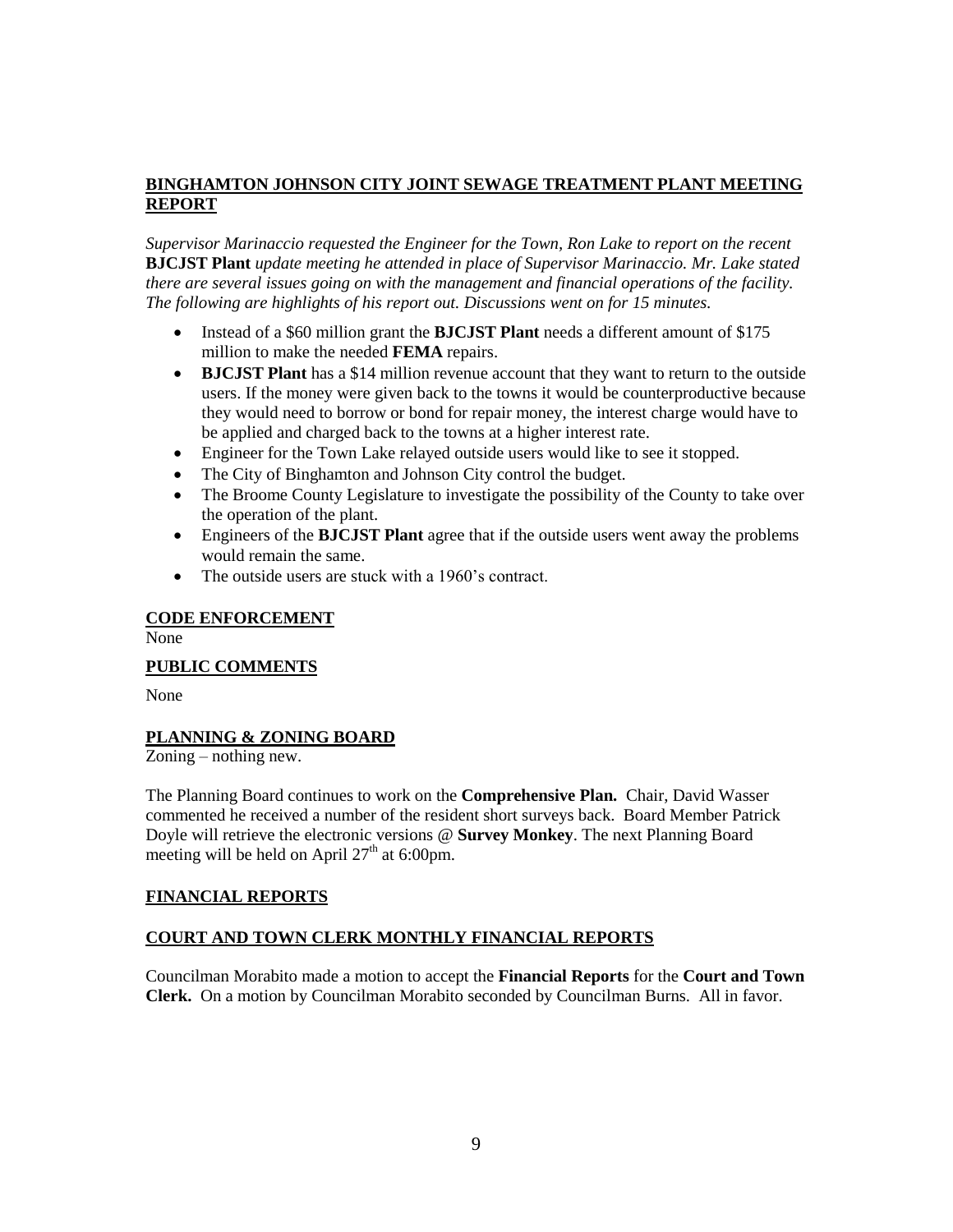## **BINGHAMTON JOHNSON CITY JOINT SEWAGE TREATMENT PLANT MEETING REPORT**

*Supervisor Marinaccio requested the Engineer for the Town, Ron Lake to report on the recent*  **BJCJST Plant** *update meeting he attended in place of Supervisor Marinaccio. Mr. Lake stated there are several issues going on with the management and financial operations of the facility. The following are highlights of his report out. Discussions went on for 15 minutes.*

- Instead of a \$60 million grant the **BJCJST Plant** needs a different amount of \$175 million to make the needed **FEMA** repairs.
- **BJCJST Plant** has a \$14 million revenue account that they want to return to the outside users. If the money were given back to the towns it would be counterproductive because they would need to borrow or bond for repair money, the interest charge would have to be applied and charged back to the towns at a higher interest rate.
- Engineer for the Town Lake relayed outside users would like to see it stopped.
- The City of Binghamton and Johnson City control the budget.
- The Broome County Legislature to investigate the possibility of the County to take over the operation of the plant.
- Engineers of the **BJCJST Plant** agree that if the outside users went away the problems would remain the same.
- The outside users are stuck with a 1960's contract.

#### **CODE ENFORCEMENT**

None

### **PUBLIC COMMENTS**

None

### **PLANNING & ZONING BOARD**

Zoning – nothing new.

The Planning Board continues to work on the **Comprehensive Plan.** Chair, David Wasser commented he received a number of the resident short surveys back. Board Member Patrick Doyle will retrieve the electronic versions @ **Survey Monkey**. The next Planning Board meeting will be held on April  $27<sup>th</sup>$  at 6:00pm.

#### **FINANCIAL REPORTS**

### **COURT AND TOWN CLERK MONTHLY FINANCIAL REPORTS**

Councilman Morabito made a motion to accept the **Financial Reports** for the **Court and Town Clerk.** On a motion by Councilman Morabito seconded by Councilman Burns. All in favor.